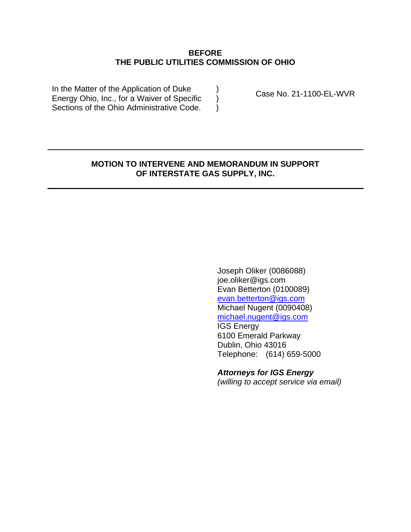### **BEFORE THE PUBLIC UTILITIES COMMISSION OF OHIO**

) ) )

In the Matter of the Application of Duke Energy Ohio, Inc., for a Waiver of Specific Sections of the Ohio Administrative Code.

Case No. 21-1100-EL-WVR

### **MOTION TO INTERVENE AND MEMORANDUM IN SUPPORT OF INTERSTATE GAS SUPPLY, INC.**

Joseph Oliker (0086088) joe.oliker@igs.com Evan Betterton (0100089) [evan.betterton@igs.com](mailto:evan.betterton@igs.com) Michael Nugent (0090408) [michael.nugent@igs.com](mailto:michael.nugent@igs.com) IGS Energy 6100 Emerald Parkway Dublin, Ohio 43016 Telephone: (614) 659-5000

*Attorneys for IGS Energy (willing to accept service via email)*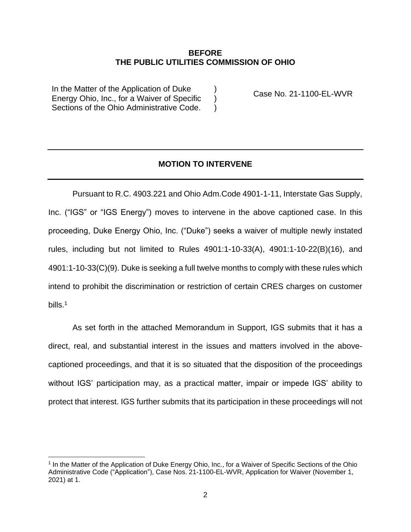#### **BEFORE THE PUBLIC UTILITIES COMMISSION OF OHIO**

 $\lambda$  $\lambda$ )

In the Matter of the Application of Duke Energy Ohio, Inc., for a Waiver of Specific Sections of the Ohio Administrative Code.

Case No. 21-1100-EL-WVR

## **MOTION TO INTERVENE**

Pursuant to R.C. 4903.221 and Ohio Adm.Code 4901-1-11, Interstate Gas Supply, Inc. ("IGS" or "IGS Energy") moves to intervene in the above captioned case. In this proceeding, Duke Energy Ohio, Inc. ("Duke") seeks a waiver of multiple newly instated rules, including but not limited to Rules 4901:1-10-33(A), 4901:1-10-22(B)(16), and 4901:1-10-33(C)(9). Duke is seeking a full twelve months to comply with these rules which intend to prohibit the discrimination or restriction of certain CRES charges on customer bills.<sup>1</sup>

As set forth in the attached Memorandum in Support, IGS submits that it has a direct, real, and substantial interest in the issues and matters involved in the abovecaptioned proceedings, and that it is so situated that the disposition of the proceedings without IGS' participation may, as a practical matter, impair or impede IGS' ability to protect that interest. IGS further submits that its participation in these proceedings will not

<sup>&</sup>lt;sup>1</sup> In the Matter of the Application of Duke Energy Ohio, Inc., for a Waiver of Specific Sections of the Ohio Administrative Code ("Application"), Case Nos. 21-1100-EL-WVR, Application for Waiver (November 1, 2021) at 1.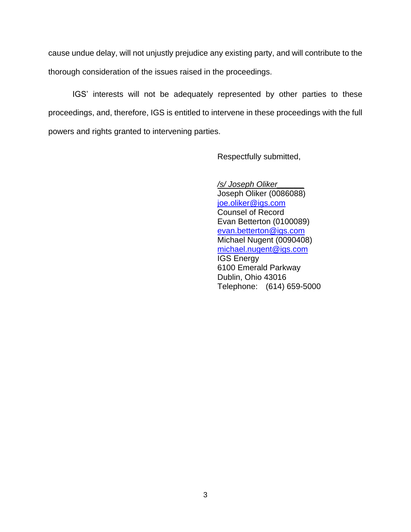cause undue delay, will not unjustly prejudice any existing party, and will contribute to the thorough consideration of the issues raised in the proceedings.

IGS' interests will not be adequately represented by other parties to these proceedings, and, therefore, IGS is entitled to intervene in these proceedings with the full powers and rights granted to intervening parties.

Respectfully submitted,

*/s/ Joseph Oliker\_\_\_\_\_\_* Joseph Oliker (0086088) [joe.oliker@igs.com](mailto:joe.oliker@igs.com) Counsel of Record Evan Betterton (0100089) [evan.betterton@igs.com](mailto:evan.betterton@igs.com) Michael Nugent (0090408) [michael.nugent@igs.com](mailto:michael.nugent@igs.com) IGS Energy 6100 Emerald Parkway Dublin, Ohio 43016 Telephone: (614) 659-5000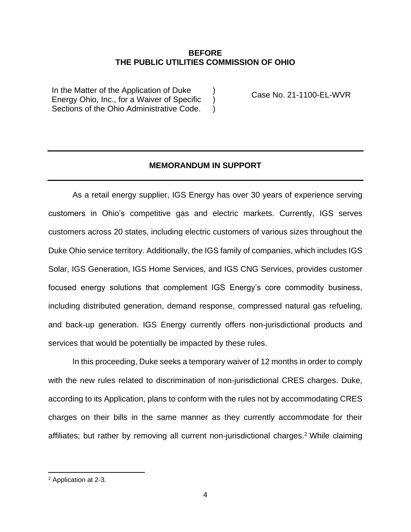#### **BEFORE THE PUBLIC UTILITIES COMMISSION OF OHIO**

) )  $\lambda$ 

In the Matter of the Application of Duke Energy Ohio, Inc., for a Waiver of Specific Sections of the Ohio Administrative Code.

Case No. 21-1100-EL-WVR

### **MEMORANDUM IN SUPPORT**

As a retail energy supplier, IGS Energy has over 30 years of experience serving customers in Ohio's competitive gas and electric markets. Currently, IGS serves customers across 20 states, including electric customers of various sizes throughout the Duke Ohio service territory. Additionally, the IGS family of companies, which includes IGS Solar, IGS Generation, IGS Home Services, and IGS CNG Services, provides customer focused energy solutions that complement IGS Energy's core commodity business, including distributed generation, demand response, compressed natural gas refueling, and back-up generation. IGS Energy currently offers non-jurisdictional products and services that would be potentially be impacted by these rules.

In this proceeding, Duke seeks a temporary waiver of 12 months in order to comply with the new rules related to discrimination of non-jurisdictional CRES charges. Duke, according to its Application, plans to conform with the rules not by accommodating CRES charges on their bills in the same manner as they currently accommodate for their affiliates; but rather by removing all current non-jurisdictional charges.<sup>2</sup> While claiming

<sup>2</sup> Application at 2-3.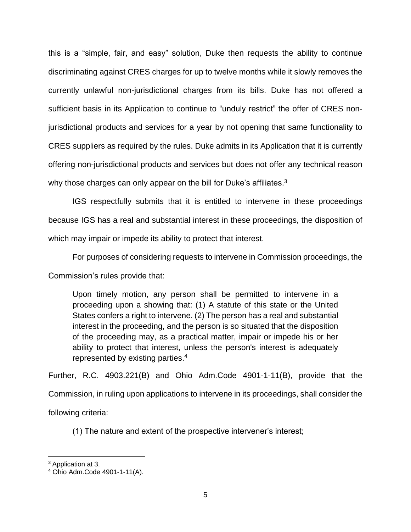this is a "simple, fair, and easy" solution, Duke then requests the ability to continue discriminating against CRES charges for up to twelve months while it slowly removes the currently unlawful non-jurisdictional charges from its bills. Duke has not offered a sufficient basis in its Application to continue to "unduly restrict" the offer of CRES nonjurisdictional products and services for a year by not opening that same functionality to CRES suppliers as required by the rules. Duke admits in its Application that it is currently offering non-jurisdictional products and services but does not offer any technical reason why those charges can only appear on the bill for Duke's affiliates.<sup>3</sup>

IGS respectfully submits that it is entitled to intervene in these proceedings because IGS has a real and substantial interest in these proceedings, the disposition of which may impair or impede its ability to protect that interest.

For purposes of considering requests to intervene in Commission proceedings, the Commission's rules provide that:

Upon timely motion, any person shall be permitted to intervene in a proceeding upon a showing that: (1) A statute of this state or the United States confers a right to intervene. (2) The person has a real and substantial interest in the proceeding, and the person is so situated that the disposition of the proceeding may, as a practical matter, impair or impede his or her ability to protect that interest, unless the person's interest is adequately represented by existing parties.<sup>4</sup>

Further, R.C. 4903.221(B) and Ohio Adm.Code 4901-1-11(B), provide that the Commission, in ruling upon applications to intervene in its proceedings, shall consider the following criteria:

(1) The nature and extent of the prospective intervener's interest;

<sup>&</sup>lt;sup>3</sup> Application at 3.

<sup>4</sup> Ohio Adm.Code 4901-1-11(A).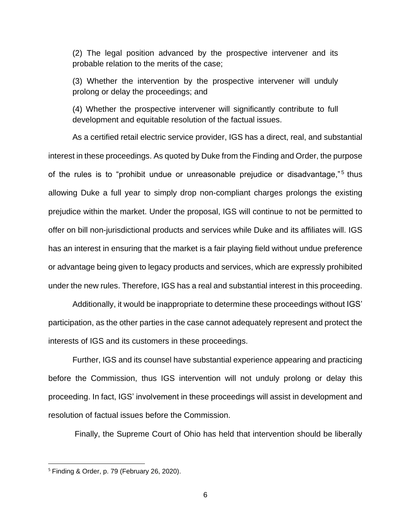(2) The legal position advanced by the prospective intervener and its probable relation to the merits of the case;

(3) Whether the intervention by the prospective intervener will unduly prolong or delay the proceedings; and

(4) Whether the prospective intervener will significantly contribute to full development and equitable resolution of the factual issues.

As a certified retail electric service provider, IGS has a direct, real, and substantial interest in these proceedings. As quoted by Duke from the Finding and Order, the purpose of the rules is to "prohibit undue or unreasonable prejudice or disadvantage,"<sup>5</sup> thus allowing Duke a full year to simply drop non-compliant charges prolongs the existing prejudice within the market. Under the proposal, IGS will continue to not be permitted to offer on bill non-jurisdictional products and services while Duke and its affiliates will. IGS has an interest in ensuring that the market is a fair playing field without undue preference or advantage being given to legacy products and services, which are expressly prohibited under the new rules. Therefore, IGS has a real and substantial interest in this proceeding.

Additionally, it would be inappropriate to determine these proceedings without IGS' participation, as the other parties in the case cannot adequately represent and protect the interests of IGS and its customers in these proceedings.

Further, IGS and its counsel have substantial experience appearing and practicing before the Commission, thus IGS intervention will not unduly prolong or delay this proceeding. In fact, IGS' involvement in these proceedings will assist in development and resolution of factual issues before the Commission.

Finally, the Supreme Court of Ohio has held that intervention should be liberally

<sup>5</sup> Finding & Order, p. 79 (February 26, 2020).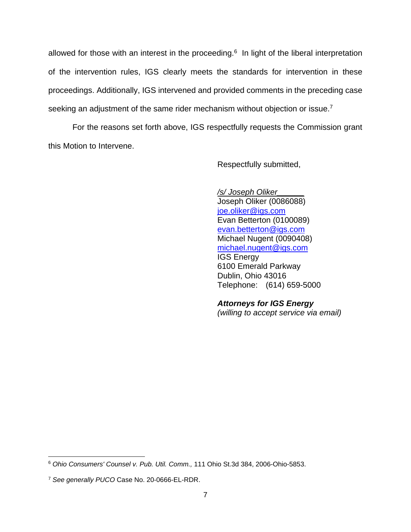allowed for those with an interest in the proceeding. $6$  In light of the liberal interpretation of the intervention rules, IGS clearly meets the standards for intervention in these proceedings. Additionally, IGS intervened and provided comments in the preceding case seeking an adjustment of the same rider mechanism without objection or issue.<sup>7</sup>

For the reasons set forth above, IGS respectfully requests the Commission grant this Motion to Intervene.

Respectfully submitted,

*/s/ Joseph Oliker\_\_\_\_\_\_* Joseph Oliker (0086088) [joe.oliker@igs.com](mailto:joe.oliker@igs.com) Evan Betterton (0100089) [evan.betterton@igs.com](mailto:evan.betterton@igs.com) Michael Nugent (0090408) [michael.nugent@igs.com](mailto:michael.nugent@igs.com) IGS Energy 6100 Emerald Parkway Dublin, Ohio 43016 Telephone: (614) 659-5000

## *Attorneys for IGS Energy*

*(willing to accept service via email)*

<sup>6</sup> *Ohio Consumers' Counsel v. Pub. Util. Comm.,* 111 Ohio St.3d 384, 2006-Ohio-5853.

<sup>7</sup> *See generally PUCO* Case No. 20-0666-EL-RDR.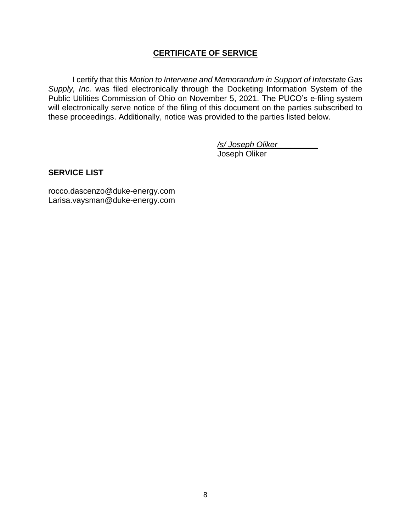## **CERTIFICATE OF SERVICE**

I certify that this *Motion to Intervene and Memorandum in Support of Interstate Gas Supply, Inc.* was filed electronically through the Docketing Information System of the Public Utilities Commission of Ohio on November 5, 2021. The PUCO's e-filing system will electronically serve notice of the filing of this document on the parties subscribed to these proceedings. Additionally, notice was provided to the parties listed below.

> */s/ Joseph Oliker\_\_\_\_\_\_\_\_\_* Joseph Oliker

## **SERVICE LIST**

rocco.dascenzo@duke-energy.com Larisa.vaysman@duke-energy.com